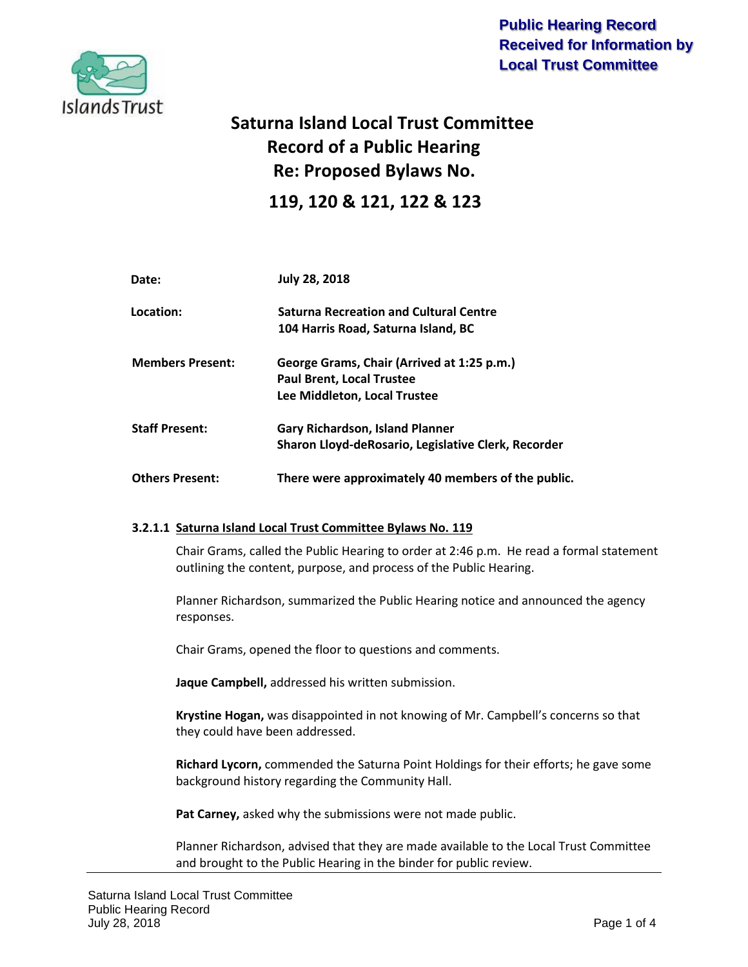

**Public Hearing Record Received for Information by Local Trust Committee**

# **Saturna Island Local Trust Committee Record of a Public Hearing Re: Proposed Bylaws No. 119, 120 & 121, 122 & 123**

| Date:                   | <b>July 28, 2018</b>                                |
|-------------------------|-----------------------------------------------------|
| Location:               | <b>Saturna Recreation and Cultural Centre</b>       |
|                         | 104 Harris Road, Saturna Island, BC                 |
| <b>Members Present:</b> | George Grams, Chair (Arrived at 1:25 p.m.)          |
|                         | <b>Paul Brent, Local Trustee</b>                    |
|                         | Lee Middleton, Local Trustee                        |
| <b>Staff Present:</b>   | <b>Gary Richardson, Island Planner</b>              |
|                         | Sharon Lloyd-deRosario, Legislative Clerk, Recorder |
| <b>Others Present:</b>  | There were approximately 40 members of the public.  |

### **3.2.1.1 Saturna Island Local Trust Committee Bylaws No. 119**

Chair Grams, called the Public Hearing to order at 2:46 p.m. He read a formal statement outlining the content, purpose, and process of the Public Hearing.

Planner Richardson, summarized the Public Hearing notice and announced the agency responses.

Chair Grams, opened the floor to questions and comments.

**Jaque Campbell,** addressed his written submission.

**Krystine Hogan,** was disappointed in not knowing of Mr. Campbell's concerns so that they could have been addressed.

**Richard Lycorn,** commended the Saturna Point Holdings for their efforts; he gave some background history regarding the Community Hall.

**Pat Carney,** asked why the submissions were not made public.

Planner Richardson, advised that they are made available to the Local Trust Committee and brought to the Public Hearing in the binder for public review.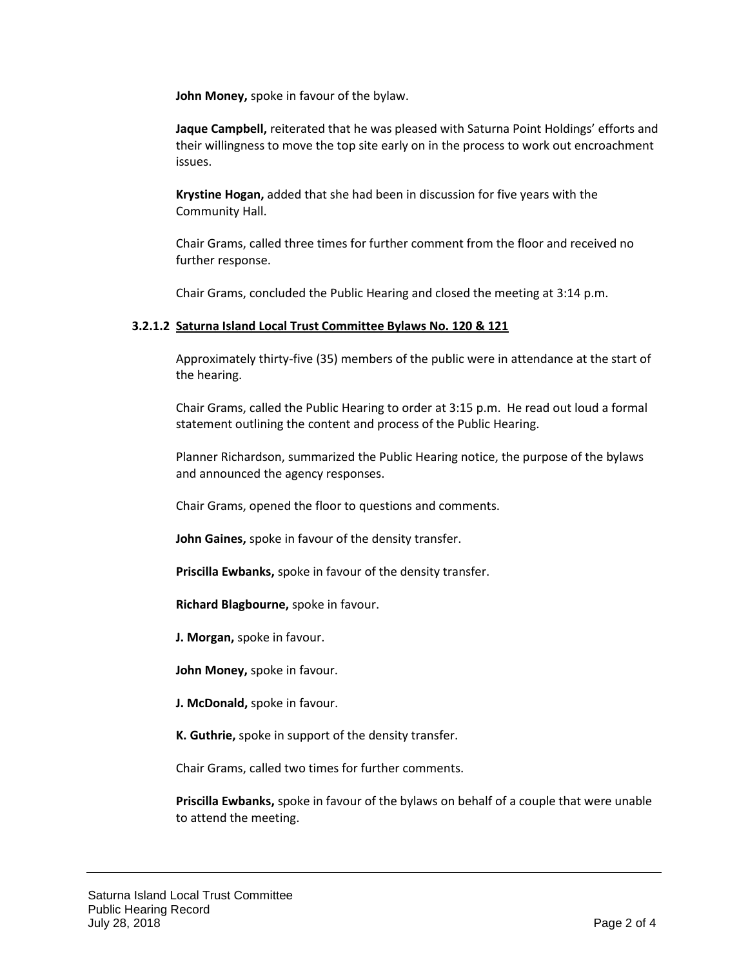**John Money,** spoke in favour of the bylaw.

**Jaque Campbell,** reiterated that he was pleased with Saturna Point Holdings' efforts and their willingness to move the top site early on in the process to work out encroachment issues.

**Krystine Hogan,** added that she had been in discussion for five years with the Community Hall.

Chair Grams, called three times for further comment from the floor and received no further response.

Chair Grams, concluded the Public Hearing and closed the meeting at 3:14 p.m.

#### **3.2.1.2 Saturna Island Local Trust Committee Bylaws No. 120 & 121**

Approximately thirty-five (35) members of the public were in attendance at the start of the hearing.

Chair Grams, called the Public Hearing to order at 3:15 p.m. He read out loud a formal statement outlining the content and process of the Public Hearing.

Planner Richardson, summarized the Public Hearing notice, the purpose of the bylaws and announced the agency responses.

Chair Grams, opened the floor to questions and comments.

**John Gaines,** spoke in favour of the density transfer.

**Priscilla Ewbanks,** spoke in favour of the density transfer.

**Richard Blagbourne,** spoke in favour.

**J. Morgan,** spoke in favour.

**John Money,** spoke in favour.

**J. McDonald,** spoke in favour.

**K. Guthrie,** spoke in support of the density transfer.

Chair Grams, called two times for further comments.

**Priscilla Ewbanks,** spoke in favour of the bylaws on behalf of a couple that were unable to attend the meeting.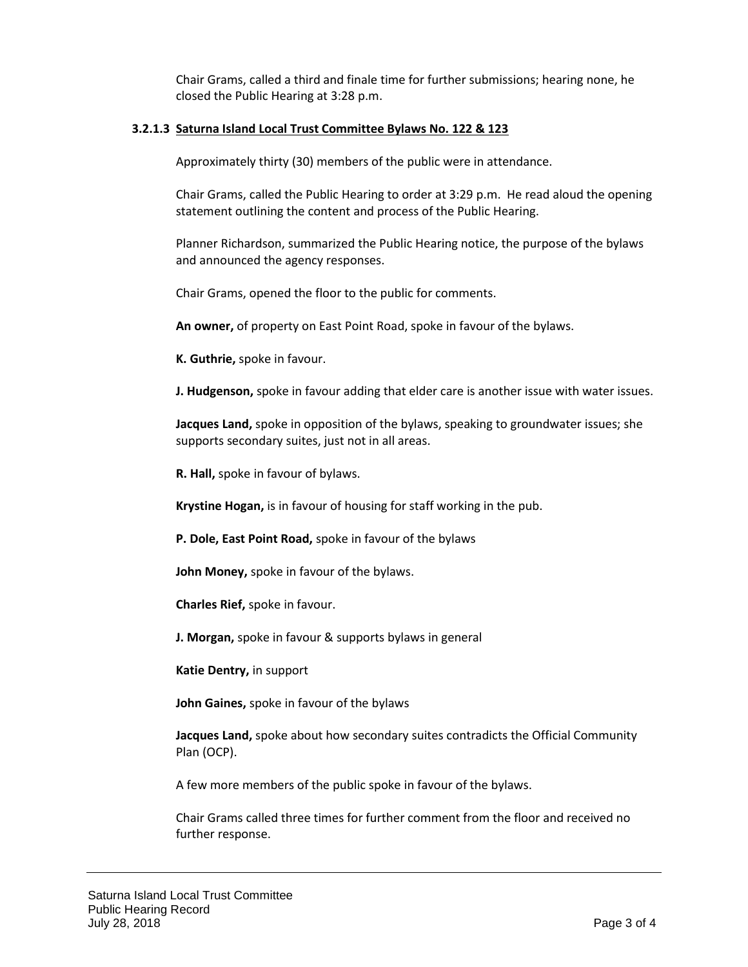Chair Grams, called a third and finale time for further submissions; hearing none, he closed the Public Hearing at 3:28 p.m.

#### **3.2.1.3 Saturna Island Local Trust Committee Bylaws No. 122 & 123**

Approximately thirty (30) members of the public were in attendance.

Chair Grams, called the Public Hearing to order at 3:29 p.m. He read aloud the opening statement outlining the content and process of the Public Hearing.

Planner Richardson, summarized the Public Hearing notice, the purpose of the bylaws and announced the agency responses.

Chair Grams, opened the floor to the public for comments.

**An owner,** of property on East Point Road, spoke in favour of the bylaws.

**K. Guthrie,** spoke in favour.

**J. Hudgenson,** spoke in favour adding that elder care is another issue with water issues.

**Jacques Land,** spoke in opposition of the bylaws, speaking to groundwater issues; she supports secondary suites, just not in all areas.

**R. Hall,** spoke in favour of bylaws.

**Krystine Hogan,** is in favour of housing for staff working in the pub.

**P. Dole, East Point Road,** spoke in favour of the bylaws

**John Money,** spoke in favour of the bylaws.

**Charles Rief,** spoke in favour.

**J. Morgan,** spoke in favour & supports bylaws in general

**Katie Dentry,** in support

**John Gaines,** spoke in favour of the bylaws

**Jacques Land,** spoke about how secondary suites contradicts the Official Community Plan (OCP).

A few more members of the public spoke in favour of the bylaws.

Chair Grams called three times for further comment from the floor and received no further response.